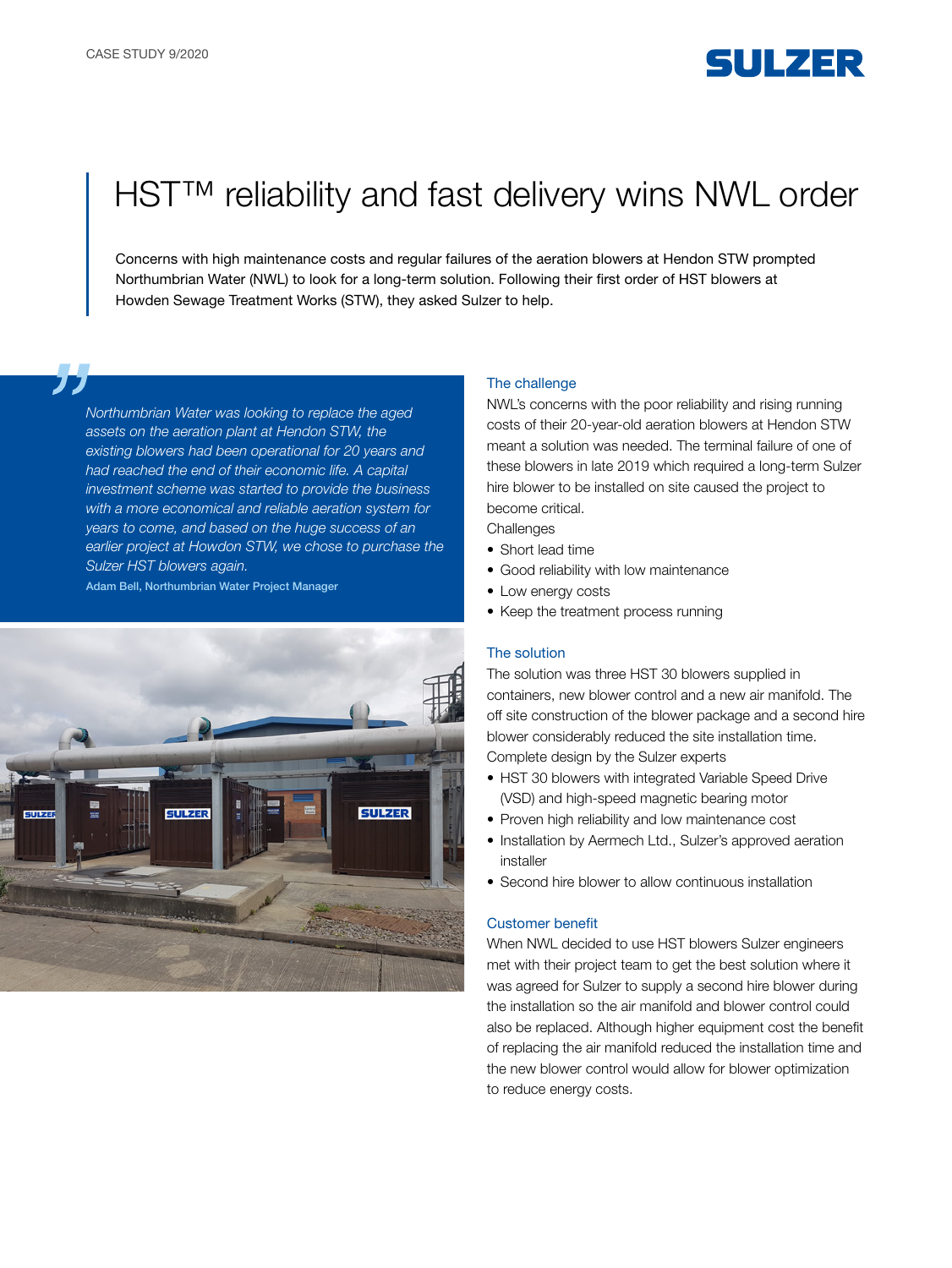

# HST™ reliability and fast delivery wins NWL order

Concerns with high maintenance costs and regular failures of the aeration blowers at Hendon STW prompted Northumbrian Water (NWL) to look for a long-term solution. Following their first order of HST blowers at Howden Sewage Treatment Works (STW), they asked Sulzer to help.

*Northumbrian Water was looking to replace the aged assets on the aeration plant at Hendon STW, the existing blowers had been operational for 20 years and had reached the end of their economic life. A capital investment scheme was started to provide the business with a more economical and reliable aeration system for years to come, and based on the huge success of an earlier project at Howdon STW, we chose to purchase the Sulzer HST blowers again.* 

Adam Bell, Northumbrian Water Project Manager



#### The challenge

NWL's concerns with the poor reliability and rising running costs of their 20-year-old aeration blowers at Hendon STW meant a solution was needed. The terminal failure of one of these blowers in late 2019 which required a long-term Sulzer hire blower to be installed on site caused the project to become critical.

- **Challenges** • Short lead time
- Good reliability with low maintenance
- Low energy costs
- Keep the treatment process running

### The solution

The solution was three HST 30 blowers supplied in containers, new blower control and a new air manifold. The off site construction of the blower package and a second hire blower considerably reduced the site installation time. Complete design by the Sulzer experts

- HST 30 blowers with integrated Variable Speed Drive (VSD) and high-speed magnetic bearing motor
- Proven high reliability and low maintenance cost
- Installation by Aermech Ltd., Sulzer's approved aeration installer
- Second hire blower to allow continuous installation

# Customer benefit

When NWL decided to use HST blowers Sulzer engineers met with their project team to get the best solution where it was agreed for Sulzer to supply a second hire blower during the installation so the air manifold and blower control could also be replaced. Although higher equipment cost the benefit of replacing the air manifold reduced the installation time and the new blower control would allow for blower optimization to reduce energy costs.